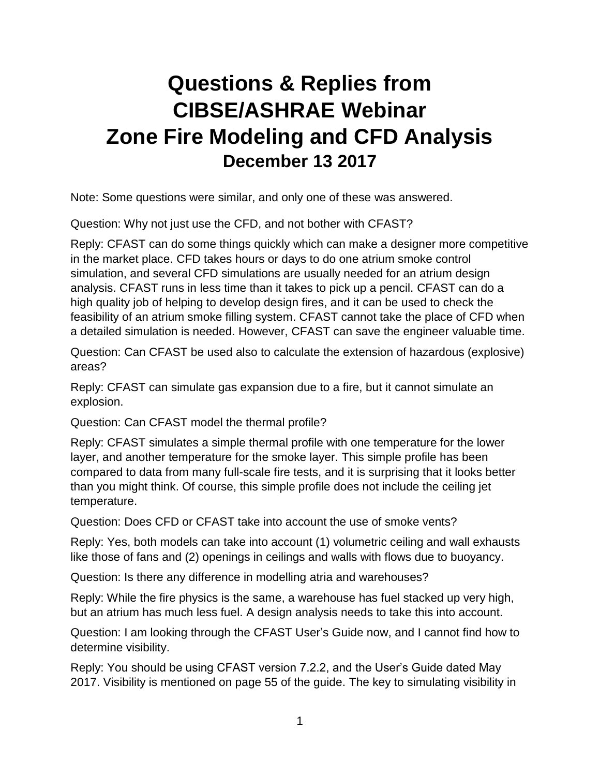## **Questions & Replies from CIBSE/ASHRAE Webinar Zone Fire Modeling and CFD Analysis December 13 2017**

Note: Some questions were similar, and only one of these was answered.

Question: Why not just use the CFD, and not bother with CFAST?

Reply: CFAST can do some things quickly which can make a designer more competitive in the market place. CFD takes hours or days to do one atrium smoke control simulation, and several CFD simulations are usually needed for an atrium design analysis. CFAST runs in less time than it takes to pick up a pencil. CFAST can do a high quality job of helping to develop design fires, and it can be used to check the feasibility of an atrium smoke filling system. CFAST cannot take the place of CFD when a detailed simulation is needed. However, CFAST can save the engineer valuable time.

Question: Can CFAST be used also to calculate the extension of hazardous (explosive) areas?

Reply: CFAST can simulate gas expansion due to a fire, but it cannot simulate an explosion.

Question: Can CFAST model the thermal profile?

Reply: CFAST simulates a simple thermal profile with one temperature for the lower layer, and another temperature for the smoke layer. This simple profile has been compared to data from many full-scale fire tests, and it is surprising that it looks better than you might think. Of course, this simple profile does not include the ceiling jet temperature.

Question: Does CFD or CFAST take into account the use of smoke vents?

Reply: Yes, both models can take into account (1) volumetric ceiling and wall exhausts like those of fans and (2) openings in ceilings and walls with flows due to buoyancy.

Question: Is there any difference in modelling atria and warehouses?

Reply: While the fire physics is the same, a warehouse has fuel stacked up very high, but an atrium has much less fuel. A design analysis needs to take this into account.

Question: I am looking through the CFAST User's Guide now, and I cannot find how to determine visibility.

Reply: You should be using CFAST version 7.2.2, and the User's Guide dated May 2017. Visibility is mentioned on page 55 of the guide. The key to simulating visibility in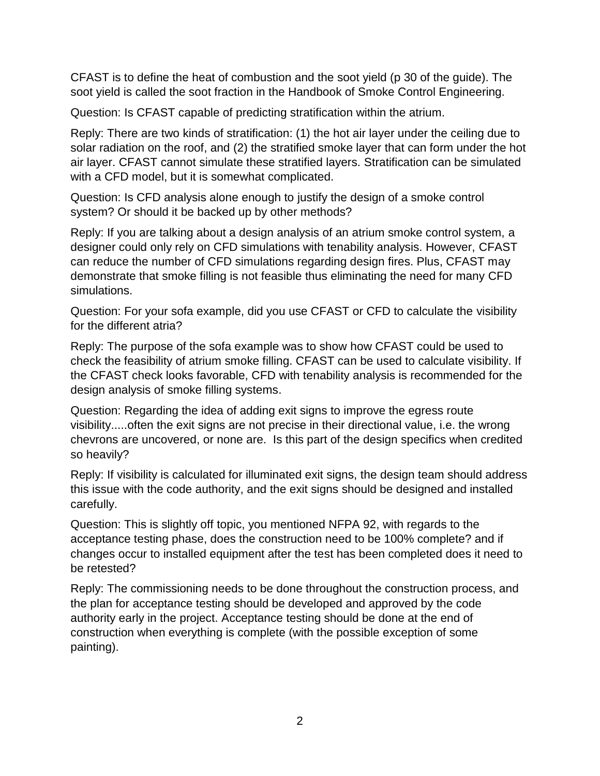CFAST is to define the heat of combustion and the soot yield (p 30 of the guide). The soot yield is called the soot fraction in the Handbook of Smoke Control Engineering.

Question: Is CFAST capable of predicting stratification within the atrium.

Reply: There are two kinds of stratification: (1) the hot air layer under the ceiling due to solar radiation on the roof, and (2) the stratified smoke layer that can form under the hot air layer. CFAST cannot simulate these stratified layers. Stratification can be simulated with a CFD model, but it is somewhat complicated.

Question: Is CFD analysis alone enough to justify the design of a smoke control system? Or should it be backed up by other methods?

Reply: If you are talking about a design analysis of an atrium smoke control system, a designer could only rely on CFD simulations with tenability analysis. However, CFAST can reduce the number of CFD simulations regarding design fires. Plus, CFAST may demonstrate that smoke filling is not feasible thus eliminating the need for many CFD simulations.

Question: For your sofa example, did you use CFAST or CFD to calculate the visibility for the different atria?

Reply: The purpose of the sofa example was to show how CFAST could be used to check the feasibility of atrium smoke filling. CFAST can be used to calculate visibility. If the CFAST check looks favorable, CFD with tenability analysis is recommended for the design analysis of smoke filling systems.

Question: Regarding the idea of adding exit signs to improve the egress route visibility.....often the exit signs are not precise in their directional value, i.e. the wrong chevrons are uncovered, or none are. Is this part of the design specifics when credited so heavily?

Reply: If visibility is calculated for illuminated exit signs, the design team should address this issue with the code authority, and the exit signs should be designed and installed carefully.

Question: This is slightly off topic, you mentioned NFPA 92, with regards to the acceptance testing phase, does the construction need to be 100% complete? and if changes occur to installed equipment after the test has been completed does it need to be retested?

Reply: The commissioning needs to be done throughout the construction process, and the plan for acceptance testing should be developed and approved by the code authority early in the project. Acceptance testing should be done at the end of construction when everything is complete (with the possible exception of some painting).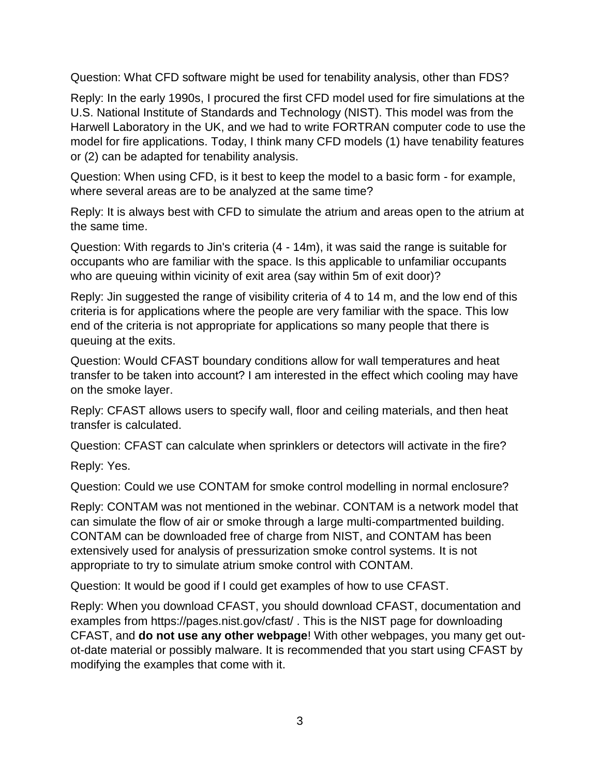Question: What CFD software might be used for tenability analysis, other than FDS?

Reply: In the early 1990s, I procured the first CFD model used for fire simulations at the U.S. National Institute of Standards and Technology (NIST). This model was from the Harwell Laboratory in the UK, and we had to write FORTRAN computer code to use the model for fire applications. Today, I think many CFD models (1) have tenability features or (2) can be adapted for tenability analysis.

Question: When using CFD, is it best to keep the model to a basic form - for example, where several areas are to be analyzed at the same time?

Reply: It is always best with CFD to simulate the atrium and areas open to the atrium at the same time.

Question: With regards to Jin's criteria (4 - 14m), it was said the range is suitable for occupants who are familiar with the space. Is this applicable to unfamiliar occupants who are queuing within vicinity of exit area (say within 5m of exit door)?

Reply: Jin suggested the range of visibility criteria of 4 to 14 m, and the low end of this criteria is for applications where the people are very familiar with the space. This low end of the criteria is not appropriate for applications so many people that there is queuing at the exits.

Question: Would CFAST boundary conditions allow for wall temperatures and heat transfer to be taken into account? I am interested in the effect which cooling may have on the smoke layer.

Reply: CFAST allows users to specify wall, floor and ceiling materials, and then heat transfer is calculated.

Question: CFAST can calculate when sprinklers or detectors will activate in the fire?

Reply: Yes.

Question: Could we use CONTAM for smoke control modelling in normal enclosure?

Reply: CONTAM was not mentioned in the webinar. CONTAM is a network model that can simulate the flow of air or smoke through a large multi-compartmented building. CONTAM can be downloaded free of charge from NIST, and CONTAM has been extensively used for analysis of pressurization smoke control systems. It is not appropriate to try to simulate atrium smoke control with CONTAM.

Question: It would be good if I could get examples of how to use CFAST.

Reply: When you download CFAST, you should download CFAST, documentation and examples from https://pages.nist.gov/cfast/ . This is the NIST page for downloading CFAST, and **do not use any other webpage**! With other webpages, you many get outot-date material or possibly malware. It is recommended that you start using CFAST by modifying the examples that come with it.